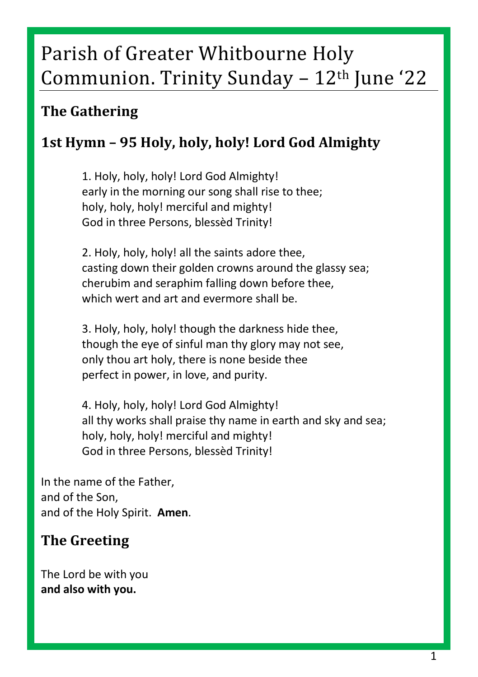# Parish of Greater Whitbourne Holy Communion. Trinity Sunday  $-12$ <sup>th</sup> June '22

# **The Gathering**

# **1st Hymn – 95 Holy, holy, holy! Lord God Almighty**

1. Holy, holy, holy! Lord God Almighty! early in the morning our song shall rise to thee; holy, holy, holy! merciful and mighty! God in three Persons, blessèd Trinity!

2. Holy, holy, holy! all the saints adore thee, casting down their golden crowns around the glassy sea; cherubim and seraphim falling down before thee, which wert and art and evermore shall be.

3. Holy, holy, holy! though the darkness hide thee, though the eye of sinful man thy glory may not see, only thou art holy, there is none beside thee perfect in power, in love, and purity.

4. Holy, holy, holy! Lord God Almighty! all thy works shall praise thy name in earth and sky and sea; holy, holy, holy! merciful and mighty! God in three Persons, blessèd Trinity!

In the name of the Father, and of the Son, and of the Holy Spirit. **Amen**.

# **The Greeting**

The Lord be with you **and also with you.**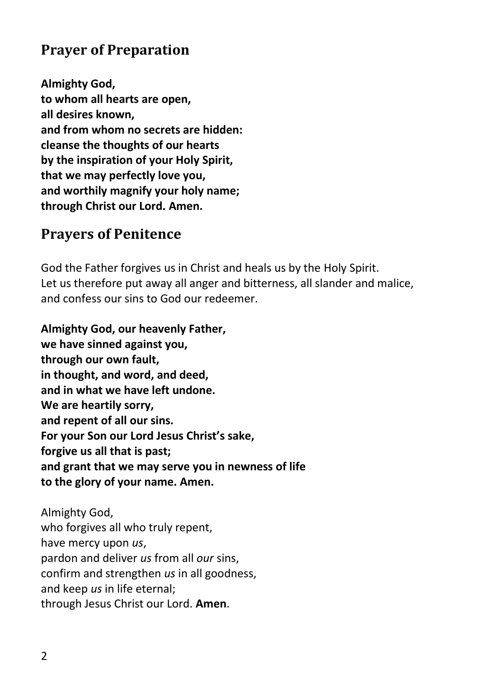# **Prayer of Preparation**

**Almighty God, to whom all hearts are open, all desires known, and from whom no secrets are hidden: cleanse the thoughts of our hearts by the inspiration of your Holy Spirit, that we may perfectly love you, and worthily magnify your holy name; through Christ our Lord. Amen.**

### **Prayers of Penitence**

God the Father forgives us in Christ and heals us by the Holy Spirit. Let us therefore put away all anger and bitterness, all slander and malice, and confess our sins to God our redeemer.

**Almighty God, our heavenly Father, we have sinned against you, through our own fault, in thought, and word, and deed, and in what we have left undone. We are heartily sorry, and repent of all our sins. For your Son our Lord Jesus Christ's sake, forgive us all that is past; and grant that we may serve you in newness of life to the glory of your name. Amen.**

Almighty God, who forgives all who truly repent, have mercy upon *us*, pardon and deliver *us* from all *our* sins, confirm and strengthen *us* in all goodness, and keep *us* in life eternal; through Jesus Christ our Lord. **Amen**.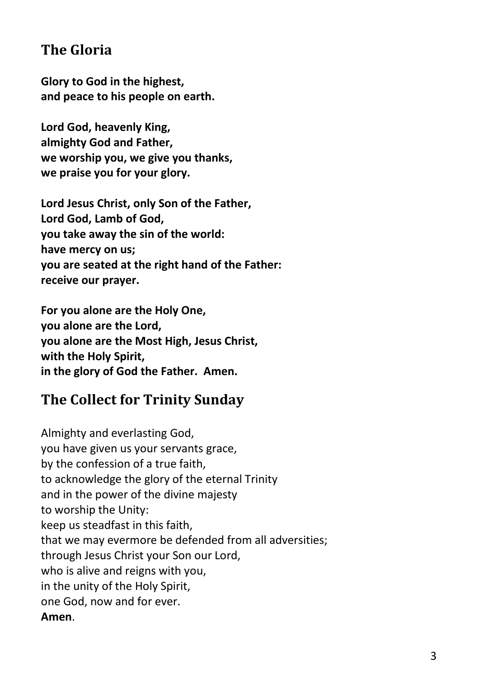# **The Gloria**

**Glory to God in the highest, and peace to his people on earth.**

**Lord God, heavenly King, almighty God and Father, we worship you, we give you thanks, we praise you for your glory.**

**Lord Jesus Christ, only Son of the Father, Lord God, Lamb of God, you take away the sin of the world: have mercy on us; you are seated at the right hand of the Father: receive our prayer.**

**For you alone are the Holy One, you alone are the Lord, you alone are the Most High, Jesus Christ, with the Holy Spirit, in the glory of God the Father. Amen.**

# **The Collect for Trinity Sunday**

Almighty and everlasting God, you have given us your servants grace, by the confession of a true faith, to acknowledge the glory of the eternal Trinity and in the power of the divine majesty to worship the Unity: keep us steadfast in this faith, that we may evermore be defended from all adversities; through Jesus Christ your Son our Lord, who is alive and reigns with you, in the unity of the Holy Spirit, one God, now and for ever. **Amen**.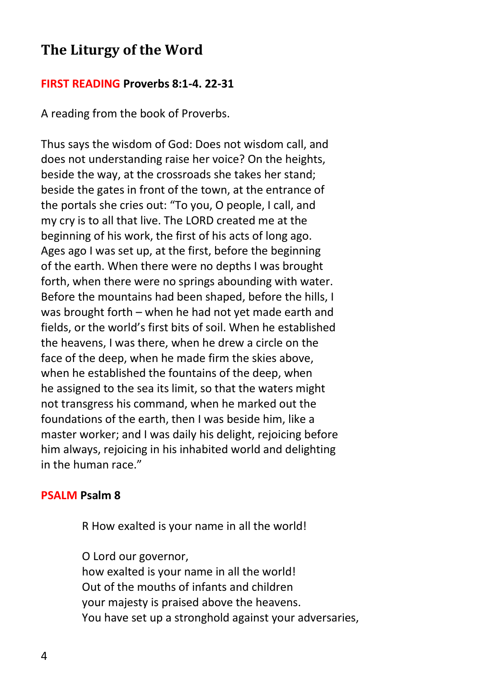### **The Liturgy of the Word**

#### **FIRST READING Proverbs 8:1-4. 22-31**

A reading from the book of Proverbs.

Thus says the wisdom of God: Does not wisdom call, and does not understanding raise her voice? On the heights, beside the way, at the crossroads she takes her stand; beside the gates in front of the town, at the entrance of the portals she cries out: "To you, O people, I call, and my cry is to all that live. The LORD created me at the beginning of his work, the first of his acts of long ago. Ages ago I was set up, at the first, before the beginning of the earth. When there were no depths I was brought forth, when there were no springs abounding with water. Before the mountains had been shaped, before the hills, I was brought forth – when he had not yet made earth and fields, or the world's first bits of soil. When he established the heavens, I was there, when he drew a circle on the face of the deep, when he made firm the skies above, when he established the fountains of the deep, when he assigned to the sea its limit, so that the waters might not transgress his command, when he marked out the foundations of the earth, then I was beside him, like a master worker; and I was daily his delight, rejoicing before him always, rejoicing in his inhabited world and delighting in the human race."

#### **PSALM Psalm 8**

R How exalted is your name in all the world!

O Lord our governor, how exalted is your name in all the world! Out of the mouths of infants and children your majesty is praised above the heavens. You have set up a stronghold against your adversaries,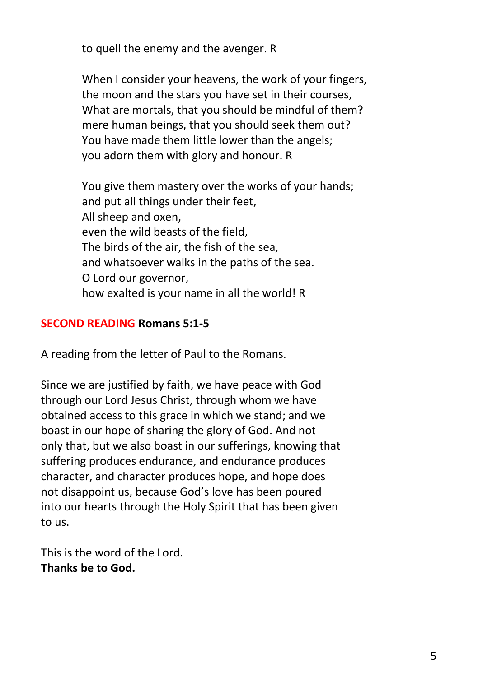to quell the enemy and the avenger. R

When I consider your heavens, the work of your fingers, the moon and the stars you have set in their courses, What are mortals, that you should be mindful of them? mere human beings, that you should seek them out? You have made them little lower than the angels; you adorn them with glory and honour. R

You give them mastery over the works of your hands; and put all things under their feet, All sheep and oxen, even the wild beasts of the field, The birds of the air, the fish of the sea, and whatsoever walks in the paths of the sea. O Lord our governor, how exalted is your name in all the world! R

#### **SECOND READING Romans 5:1-5**

A reading from the letter of Paul to the Romans.

Since we are justified by faith, we have peace with God through our Lord Jesus Christ, through whom we have obtained access to this grace in which we stand; and we boast in our hope of sharing the glory of God. And not only that, but we also boast in our sufferings, knowing that suffering produces endurance, and endurance produces character, and character produces hope, and hope does not disappoint us, because God's love has been poured into our hearts through the Holy Spirit that has been given to us.

This is the word of the Lord. **Thanks be to God.**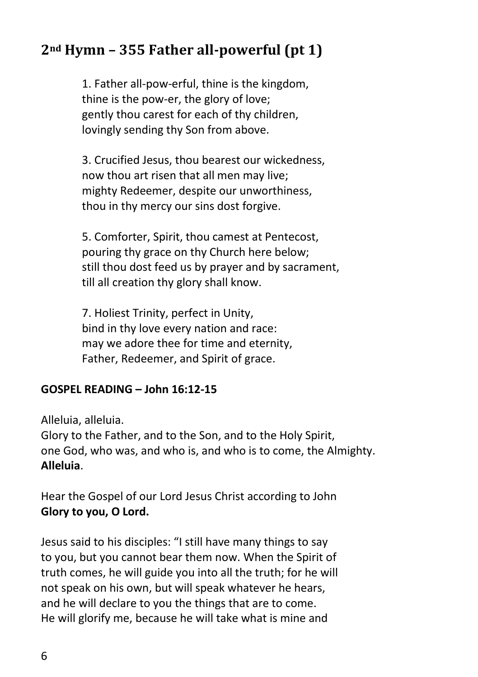# **2nd Hymn – 355 Father all-powerful (pt 1)**

1. Father all-pow-erful, thine is the kingdom, thine is the pow-er, the glory of love; gently thou carest for each of thy children, lovingly sending thy Son from above.

3. Crucified Jesus, thou bearest our wickedness, now thou art risen that all men may live; mighty Redeemer, despite our unworthiness, thou in thy mercy our sins dost forgive.

5. Comforter, Spirit, thou camest at Pentecost, pouring thy grace on thy Church here below; still thou dost feed us by prayer and by sacrament, till all creation thy glory shall know.

7. Holiest Trinity, perfect in Unity, bind in thy love every nation and race: may we adore thee for time and eternity, Father, Redeemer, and Spirit of grace.

#### **GOSPEL READING – John 16:12-15**

Alleluia, alleluia.

Glory to the Father, and to the Son, and to the Holy Spirit, one God, who was, and who is, and who is to come, the Almighty. **Alleluia**.

Hear the Gospel of our Lord Jesus Christ according to John **Glory to you, O Lord.**

Jesus said to his disciples: "I still have many things to say to you, but you cannot bear them now. When the Spirit of truth comes, he will guide you into all the truth; for he will not speak on his own, but will speak whatever he hears, and he will declare to you the things that are to come. He will glorify me, because he will take what is mine and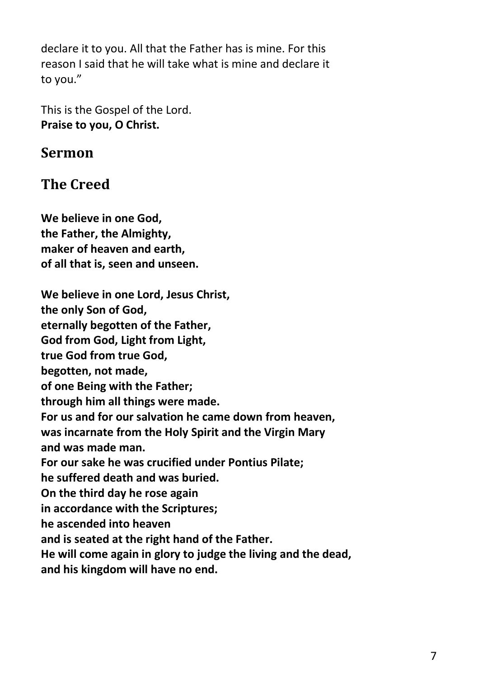declare it to you. All that the Father has is mine. For this reason I said that he will take what is mine and declare it to you."

This is the Gospel of the Lord. **Praise to you, O Christ.**

#### **Sermon**

# **The Creed**

**We believe in one God, the Father, the Almighty, maker of heaven and earth, of all that is, seen and unseen.**

**We believe in one Lord, Jesus Christ, the only Son of God, eternally begotten of the Father, God from God, Light from Light, true God from true God, begotten, not made, of one Being with the Father; through him all things were made. For us and for our salvation he came down from heaven, was incarnate from the Holy Spirit and the Virgin Mary and was made man. For our sake he was crucified under Pontius Pilate; he suffered death and was buried. On the third day he rose again in accordance with the Scriptures; he ascended into heaven and is seated at the right hand of the Father. He will come again in glory to judge the living and the dead, and his kingdom will have no end.**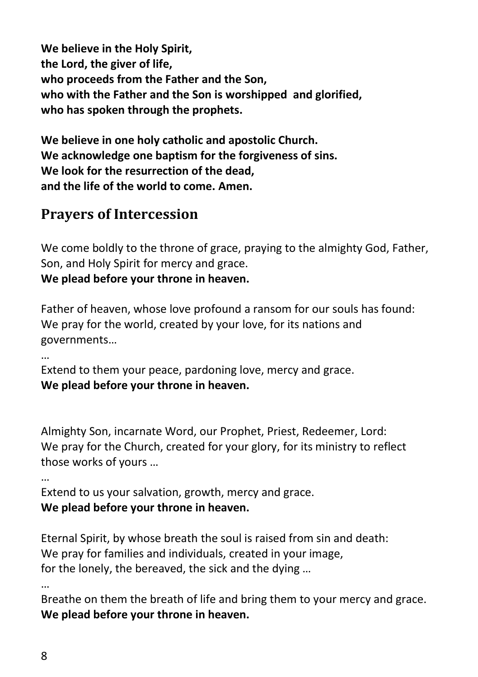**We believe in the Holy Spirit, the Lord, the giver of life, who proceeds from the Father and the Son, who with the Father and the Son is worshipped and glorified, who has spoken through the prophets.**

**We believe in one holy catholic and apostolic Church. We acknowledge one baptism for the forgiveness of sins. We look for the resurrection of the dead, and the life of the world to come. Amen.**

### **Prayers of Intercession**

We come boldly to the throne of grace, praying to the almighty God, Father, Son, and Holy Spirit for mercy and grace.

**We plead before your throne in heaven.**

Father of heaven, whose love profound a ransom for our souls has found: We pray for the world, created by your love, for its nations and governments…

…

Extend to them your peace, pardoning love, mercy and grace. **We plead before your throne in heaven.**

Almighty Son, incarnate Word, our Prophet, Priest, Redeemer, Lord: We pray for the Church, created for your glory, for its ministry to reflect those works of yours …

…

Extend to us your salvation, growth, mercy and grace. **We plead before your throne in heaven.**

Eternal Spirit, by whose breath the soul is raised from sin and death: We pray for families and individuals, created in your image, for the lonely, the bereaved, the sick and the dying …

…

Breathe on them the breath of life and bring them to your mercy and grace. **We plead before your throne in heaven.**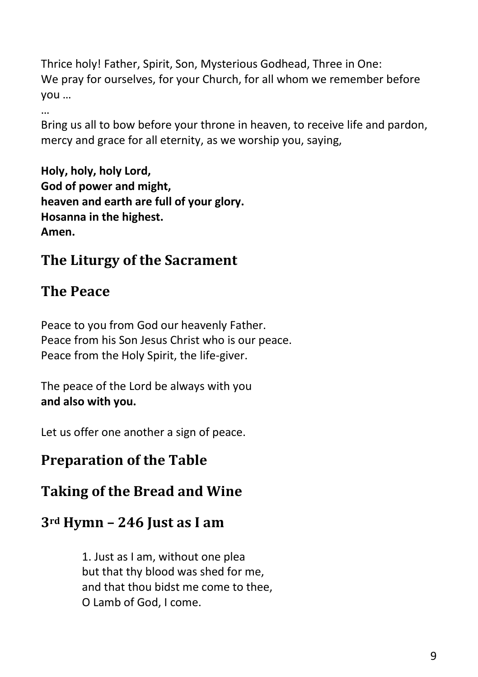Thrice holy! Father, Spirit, Son, Mysterious Godhead, Three in One: We pray for ourselves, for your Church, for all whom we remember before you …

…

Bring us all to bow before your throne in heaven, to receive life and pardon, mercy and grace for all eternity, as we worship you, saying,

**Holy, holy, holy Lord, God of power and might, heaven and earth are full of your glory. Hosanna in the highest. Amen.**

# **The Liturgy of the Sacrament**

# **The Peace**

Peace to you from God our heavenly Father. Peace from his Son Jesus Christ who is our peace. Peace from the Holy Spirit, the life-giver.

The peace of the Lord be always with you **and also with you.** 

Let us offer one another a sign of peace.

# **Preparation of the Table**

# **Taking of the Bread and Wine**

# **3rd Hymn – 246 Just as I am**

1. Just as I am, without one plea but that thy blood was shed for me, and that thou bidst me come to thee, O Lamb of God, I come.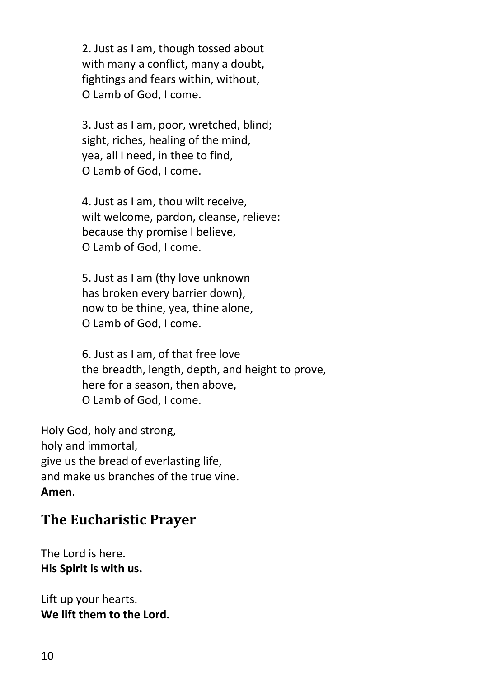2. Just as I am, though tossed about with many a conflict, many a doubt, fightings and fears within, without, O Lamb of God, I come.

3. Just as I am, poor, wretched, blind; sight, riches, healing of the mind, yea, all I need, in thee to find, O Lamb of God, I come.

4. Just as I am, thou wilt receive, wilt welcome, pardon, cleanse, relieve: because thy promise I believe, O Lamb of God, I come.

5. Just as I am (thy love unknown has broken every barrier down), now to be thine, yea, thine alone, O Lamb of God, I come.

6. Just as I am, of that free love the breadth, length, depth, and height to prove, here for a season, then above, O Lamb of God, I come.

Holy God, holy and strong, holy and immortal, give us the bread of everlasting life, and make us branches of the true vine. **Amen**.

### **The Eucharistic Prayer**

The Lord is here. **His Spirit is with us.**

Lift up your hearts. **We lift them to the Lord.**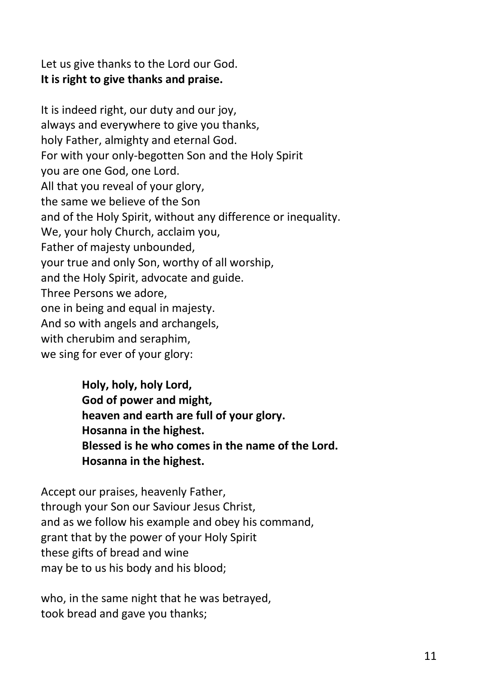Let us give thanks to the Lord our God. **It is right to give thanks and praise.**

It is indeed right, our duty and our joy, always and everywhere to give you thanks, holy Father, almighty and eternal God. For with your only-begotten Son and the Holy Spirit you are one God, one Lord. All that you reveal of your glory, the same we believe of the Son and of the Holy Spirit, without any difference or inequality. We, your holy Church, acclaim you, Father of majesty unbounded, your true and only Son, worthy of all worship, and the Holy Spirit, advocate and guide. Three Persons we adore, one in being and equal in majesty. And so with angels and archangels, with cherubim and seraphim, we sing for ever of your glory:

> **Holy, holy, holy Lord, God of power and might, heaven and earth are full of your glory. Hosanna in the highest. Blessed is he who comes in the name of the Lord. Hosanna in the highest.**

Accept our praises, heavenly Father, through your Son our Saviour Jesus Christ, and as we follow his example and obey his command, grant that by the power of your Holy Spirit these gifts of bread and wine may be to us his body and his blood;

who, in the same night that he was betrayed, took bread and gave you thanks;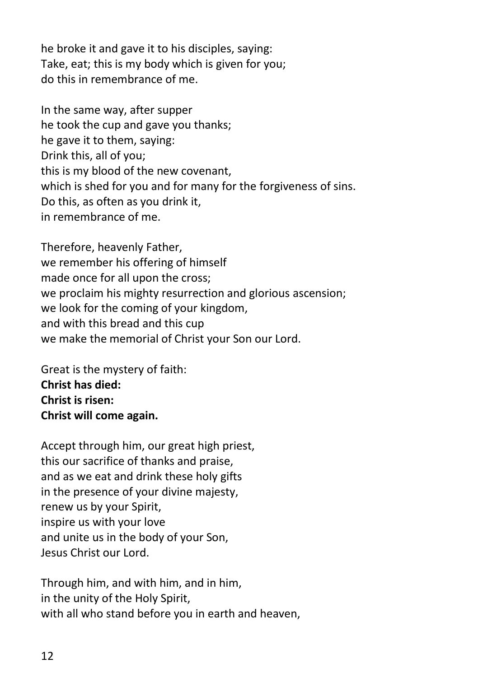he broke it and gave it to his disciples, saying: Take, eat; this is my body which is given for you; do this in remembrance of me.

In the same way, after supper he took the cup and gave you thanks; he gave it to them, saying: Drink this, all of you; this is my blood of the new covenant, which is shed for you and for many for the forgiveness of sins. Do this, as often as you drink it, in remembrance of me.

Therefore, heavenly Father, we remember his offering of himself made once for all upon the cross; we proclaim his mighty resurrection and glorious ascension; we look for the coming of your kingdom, and with this bread and this cup we make the memorial of Christ your Son our Lord.

Great is the mystery of faith: **Christ has died: Christ is risen: Christ will come again.**

Accept through him, our great high priest, this our sacrifice of thanks and praise, and as we eat and drink these holy gifts in the presence of your divine majesty, renew us by your Spirit, inspire us with your love and unite us in the body of your Son, Jesus Christ our Lord.

Through him, and with him, and in him, in the unity of the Holy Spirit, with all who stand before you in earth and heaven,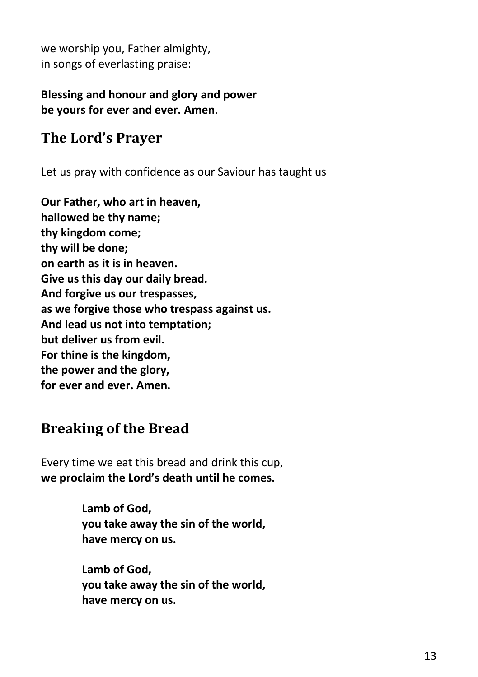we worship you, Father almighty, in songs of everlasting praise:

#### **Blessing and honour and glory and power be yours for ever and ever. Amen**.

# **The Lord's Prayer**

Let us pray with confidence as our Saviour has taught us

**Our Father, who art in heaven, hallowed be thy name; thy kingdom come; thy will be done; on earth as it is in heaven. Give us this day our daily bread. And forgive us our trespasses, as we forgive those who trespass against us. And lead us not into temptation; but deliver us from evil. For thine is the kingdom, the power and the glory, for ever and ever. Amen.**

# **Breaking of the Bread**

Every time we eat this bread and drink this cup, **we proclaim the Lord's death until he comes.**

> **Lamb of God, you take away the sin of the world, have mercy on us.**

> **Lamb of God, you take away the sin of the world, have mercy on us.**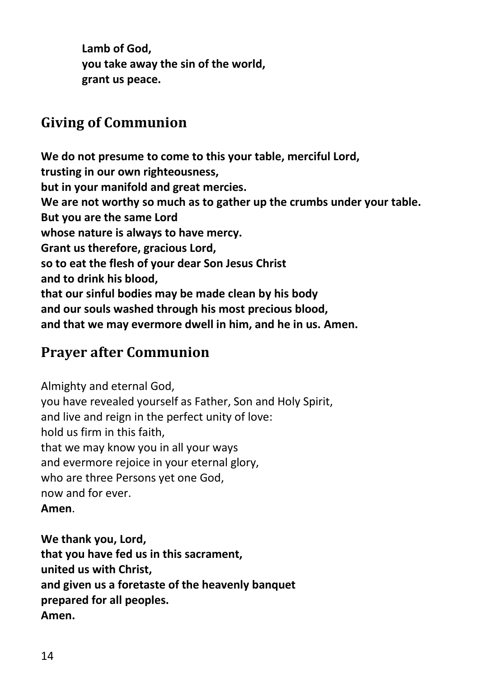**Lamb of God, you take away the sin of the world, grant us peace.**

# **Giving of Communion**

**We do not presume to come to this your table, merciful Lord, trusting in our own righteousness, but in your manifold and great mercies. We are not worthy so much as to gather up the crumbs under your table. But you are the same Lord whose nature is always to have mercy. Grant us therefore, gracious Lord, so to eat the flesh of your dear Son Jesus Christ and to drink his blood, that our sinful bodies may be made clean by his body and our souls washed through his most precious blood, and that we may evermore dwell in him, and he in us. Amen.**

# **Prayer after Communion**

Almighty and eternal God, you have revealed yourself as Father, Son and Holy Spirit, and live and reign in the perfect unity of love: hold us firm in this faith, that we may know you in all your ways and evermore rejoice in your eternal glory, who are three Persons yet one God, now and for ever. **Amen**.

**We thank you, Lord, that you have fed us in this sacrament, united us with Christ, and given us a foretaste of the heavenly banquet prepared for all peoples. Amen.**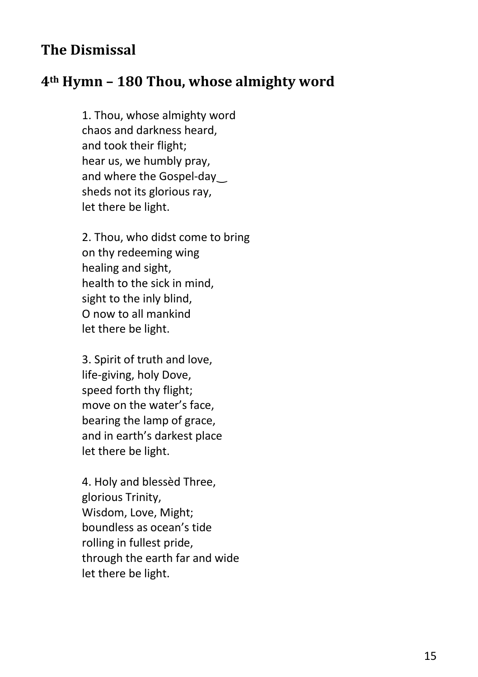### **The Dismissal**

#### **4th Hymn – 180 Thou, whose almighty word**

1. Thou, whose almighty word chaos and darkness heard, and took their flight; hear us, we humbly pray, and where the Gospel-day sheds not its glorious ray, let there be light.

2. Thou, who didst come to bring on thy redeeming wing healing and sight, health to the sick in mind, sight to the inly blind, O now to all mankind let there be light.

3. Spirit of truth and love, life-giving, holy Dove, speed forth thy flight; move on the water's face, bearing the lamp of grace, and in earth's darkest place let there be light.

4. Holy and blessèd Three, glorious Trinity, Wisdom, Love, Might; boundless as ocean's tide rolling in fullest pride, through the earth far and wide let there be light.